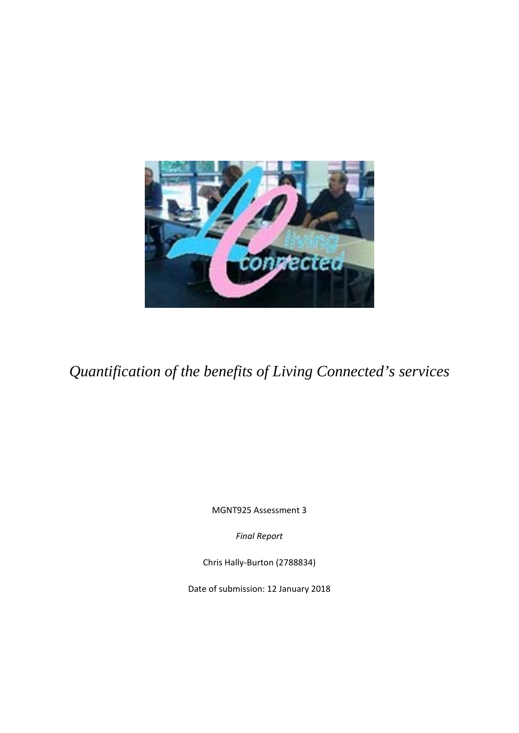

*Quantification of the benefits of Living Connected's services* 

MGNT925 Assessment 3

*Final Report*

Chris Hally‐Burton (2788834)

Date of submission: 12 January 2018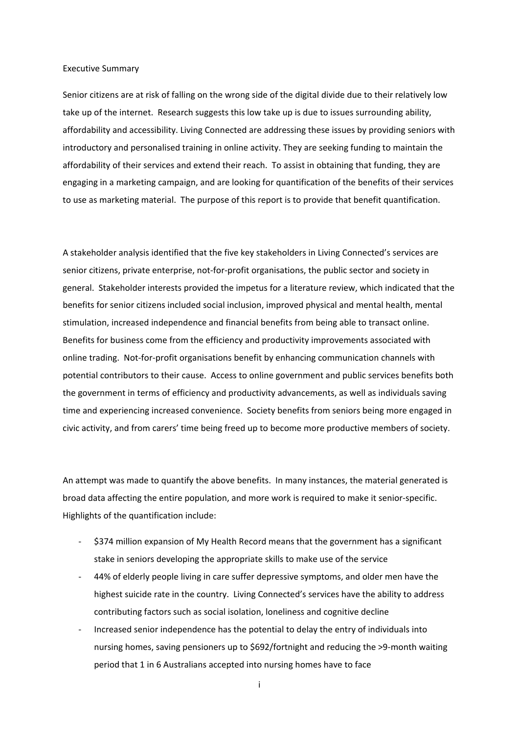#### Executive Summary

Senior citizens are at risk of falling on the wrong side of the digital divide due to their relatively low take up of the internet. Research suggests this low take up is due to issues surrounding ability, affordability and accessibility. Living Connected are addressing these issues by providing seniors with introductory and personalised training in online activity. They are seeking funding to maintain the affordability of their services and extend their reach. To assist in obtaining that funding, they are engaging in a marketing campaign, and are looking for quantification of the benefits of their services to use as marketing material. The purpose of this report is to provide that benefit quantification.

A stakeholder analysis identified that the five key stakeholders in Living Connected's services are senior citizens, private enterprise, not-for-profit organisations, the public sector and society in general. Stakeholder interests provided the impetus for a literature review, which indicated that the benefits for senior citizens included social inclusion, improved physical and mental health, mental stimulation, increased independence and financial benefits from being able to transact online. Benefits for business come from the efficiency and productivity improvements associated with online trading. Not‐for‐profit organisations benefit by enhancing communication channels with potential contributors to their cause. Access to online government and public services benefits both the government in terms of efficiency and productivity advancements, as well as individuals saving time and experiencing increased convenience. Society benefits from seniors being more engaged in civic activity, and from carers' time being freed up to become more productive members of society.

An attempt was made to quantify the above benefits. In many instances, the material generated is broad data affecting the entire population, and more work is required to make it senior‐specific. Highlights of the quantification include:

- ‐ \$374 million expansion of My Health Record means that the government has a significant stake in seniors developing the appropriate skills to make use of the service
- ‐ 44% of elderly people living in care suffer depressive symptoms, and older men have the highest suicide rate in the country. Living Connected's services have the ability to address contributing factors such as social isolation, loneliness and cognitive decline
- ‐ Increased senior independence has the potential to delay the entry of individuals into nursing homes, saving pensioners up to \$692/fortnight and reducing the >9‐month waiting period that 1 in 6 Australians accepted into nursing homes have to face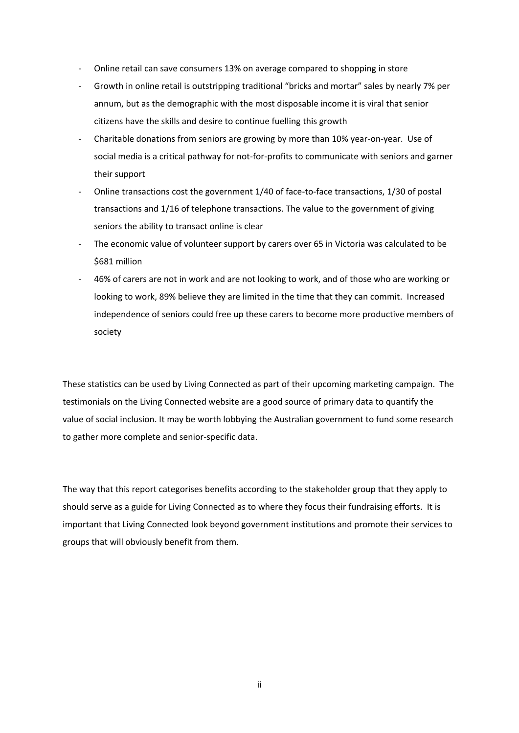- ‐ Online retail can save consumers 13% on average compared to shopping in store
- ‐ Growth in online retail is outstripping traditional "bricks and mortar" sales by nearly 7% per annum, but as the demographic with the most disposable income it is viral that senior citizens have the skills and desire to continue fuelling this growth
- ‐ Charitable donations from seniors are growing by more than 10% year‐on‐year. Use of social media is a critical pathway for not-for-profits to communicate with seniors and garner their support
- Online transactions cost the government 1/40 of face-to-face transactions, 1/30 of postal transactions and 1/16 of telephone transactions. The value to the government of giving seniors the ability to transact online is clear
- ‐ The economic value of volunteer support by carers over 65 in Victoria was calculated to be \$681 million
- ‐ 46% of carers are not in work and are not looking to work, and of those who are working or looking to work, 89% believe they are limited in the time that they can commit. Increased independence of seniors could free up these carers to become more productive members of society

These statistics can be used by Living Connected as part of their upcoming marketing campaign. The testimonials on the Living Connected website are a good source of primary data to quantify the value of social inclusion. It may be worth lobbying the Australian government to fund some research to gather more complete and senior‐specific data.

The way that this report categorises benefits according to the stakeholder group that they apply to should serve as a guide for Living Connected as to where they focus their fundraising efforts. It is important that Living Connected look beyond government institutions and promote their services to groups that will obviously benefit from them.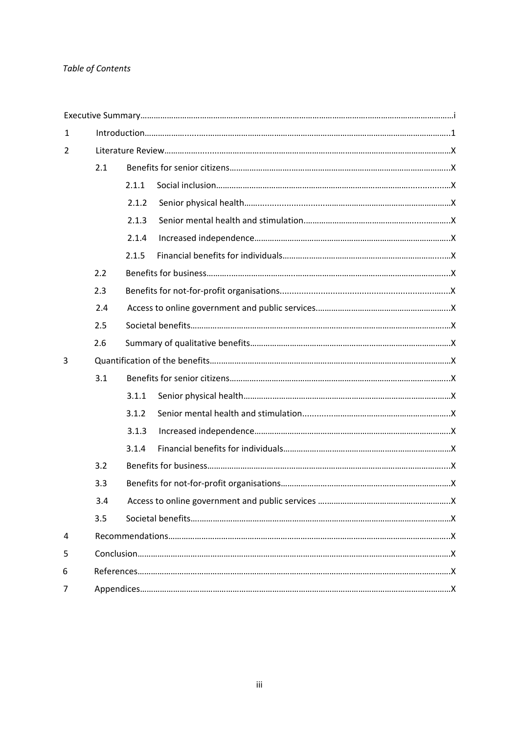# *Table of Contents*

| 1 |     |       |  |  |  |  |
|---|-----|-------|--|--|--|--|
| 2 |     |       |  |  |  |  |
|   | 2.1 |       |  |  |  |  |
|   |     | 2.1.1 |  |  |  |  |
|   |     | 2.1.2 |  |  |  |  |
|   |     | 2.1.3 |  |  |  |  |
|   |     | 2.1.4 |  |  |  |  |
|   |     | 2.1.5 |  |  |  |  |
|   | 2.2 |       |  |  |  |  |
|   | 2.3 |       |  |  |  |  |
|   | 2.4 |       |  |  |  |  |
|   | 2.5 |       |  |  |  |  |
|   | 2.6 |       |  |  |  |  |
| 3 |     |       |  |  |  |  |
|   | 3.1 |       |  |  |  |  |
|   |     | 3.1.1 |  |  |  |  |
|   |     | 3.1.2 |  |  |  |  |
|   |     | 3.1.3 |  |  |  |  |
|   |     | 3.1.4 |  |  |  |  |
|   | 3.2 |       |  |  |  |  |
|   | 3.3 |       |  |  |  |  |
|   | 3.4 |       |  |  |  |  |
|   | 3.5 |       |  |  |  |  |
| 4 |     |       |  |  |  |  |
| 5 |     |       |  |  |  |  |
| 6 |     |       |  |  |  |  |
| 7 |     |       |  |  |  |  |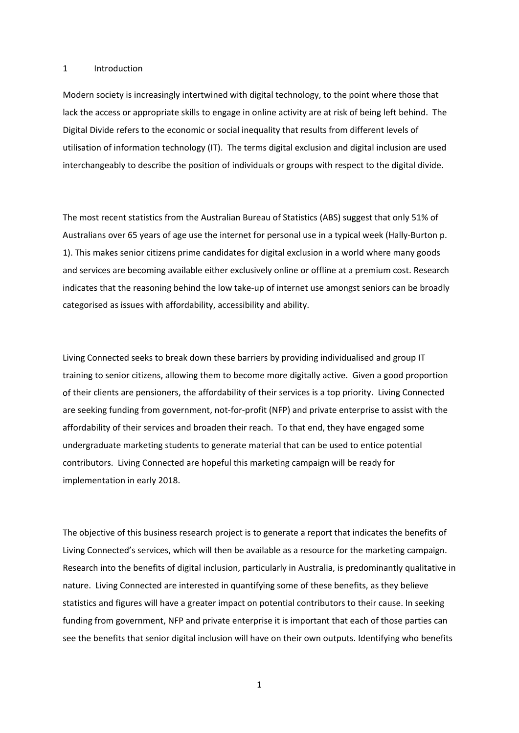#### 1 Introduction

Modern society is increasingly intertwined with digital technology, to the point where those that lack the access or appropriate skills to engage in online activity are at risk of being left behind. The Digital Divide refers to the economic or social inequality that results from different levels of utilisation of information technology (IT). The terms digital exclusion and digital inclusion are used interchangeably to describe the position of individuals or groups with respect to the digital divide.

The most recent statistics from the Australian Bureau of Statistics (ABS) suggest that only 51% of Australians over 65 years of age use the internet for personal use in a typical week (Hally‐Burton p. 1). This makes senior citizens prime candidates for digital exclusion in a world where many goods and services are becoming available either exclusively online or offline at a premium cost. Research indicates that the reasoning behind the low take-up of internet use amongst seniors can be broadly categorised as issues with affordability, accessibility and ability.

Living Connected seeks to break down these barriers by providing individualised and group IT training to senior citizens, allowing them to become more digitally active. Given a good proportion of their clients are pensioners, the affordability of their services is a top priority. Living Connected are seeking funding from government, not-for-profit (NFP) and private enterprise to assist with the affordability of their services and broaden their reach. To that end, they have engaged some undergraduate marketing students to generate material that can be used to entice potential contributors. Living Connected are hopeful this marketing campaign will be ready for implementation in early 2018.

The objective of this business research project is to generate a report that indicates the benefits of Living Connected's services, which will then be available as a resource for the marketing campaign. Research into the benefits of digital inclusion, particularly in Australia, is predominantly qualitative in nature. Living Connected are interested in quantifying some of these benefits, as they believe statistics and figures will have a greater impact on potential contributors to their cause. In seeking funding from government, NFP and private enterprise it is important that each of those parties can see the benefits that senior digital inclusion will have on their own outputs. Identifying who benefits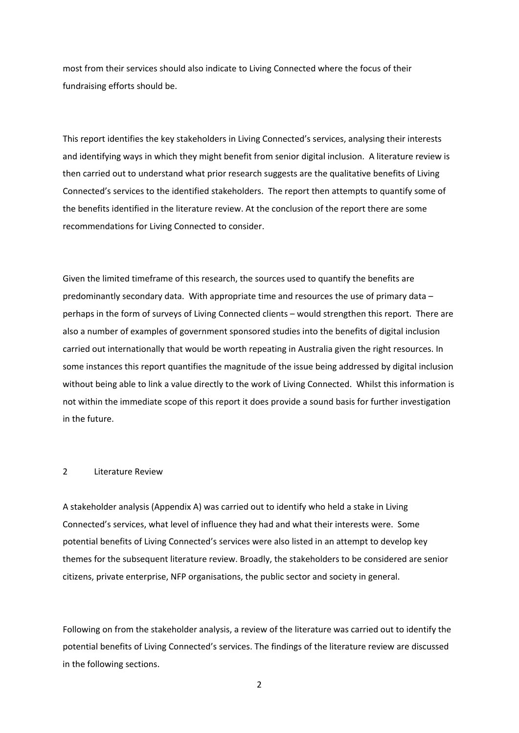most from their services should also indicate to Living Connected where the focus of their fundraising efforts should be.

This report identifies the key stakeholders in Living Connected's services, analysing their interests and identifying ways in which they might benefit from senior digital inclusion. A literature review is then carried out to understand what prior research suggests are the qualitative benefits of Living Connected's services to the identified stakeholders. The report then attempts to quantify some of the benefits identified in the literature review. At the conclusion of the report there are some recommendations for Living Connected to consider.

Given the limited timeframe of this research, the sources used to quantify the benefits are predominantly secondary data. With appropriate time and resources the use of primary data – perhaps in the form of surveys of Living Connected clients – would strengthen this report. There are also a number of examples of government sponsored studies into the benefits of digital inclusion carried out internationally that would be worth repeating in Australia given the right resources. In some instances this report quantifies the magnitude of the issue being addressed by digital inclusion without being able to link a value directly to the work of Living Connected. Whilst this information is not within the immediate scope of this report it does provide a sound basis for further investigation in the future.

## 2 Literature Review

A stakeholder analysis (Appendix A) was carried out to identify who held a stake in Living Connected's services, what level of influence they had and what their interests were. Some potential benefits of Living Connected's services were also listed in an attempt to develop key themes for the subsequent literature review. Broadly, the stakeholders to be considered are senior citizens, private enterprise, NFP organisations, the public sector and society in general.

Following on from the stakeholder analysis, a review of the literature was carried out to identify the potential benefits of Living Connected's services. The findings of the literature review are discussed in the following sections.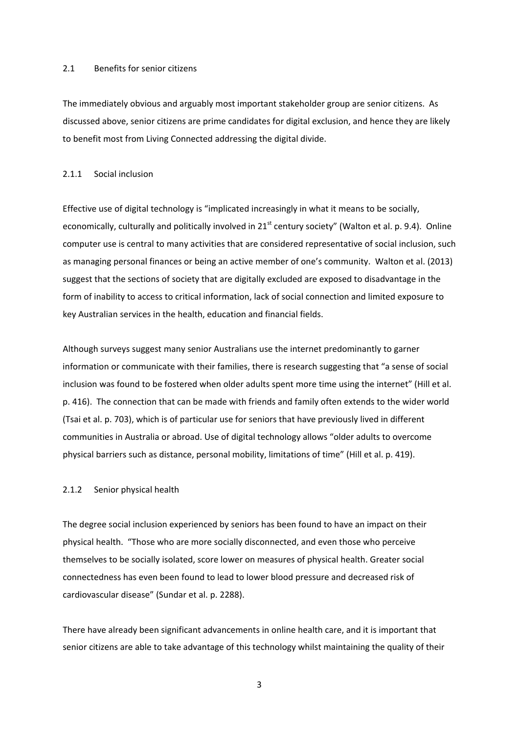#### 2.1 Benefits for senior citizens

The immediately obvious and arguably most important stakeholder group are senior citizens. As discussed above, senior citizens are prime candidates for digital exclusion, and hence they are likely to benefit most from Living Connected addressing the digital divide.

### 2.1.1 Social inclusion

Effective use of digital technology is "implicated increasingly in what it means to be socially, economically, culturally and politically involved in 21<sup>st</sup> century society" (Walton et al. p. 9.4). Online computer use is central to many activities that are considered representative of social inclusion, such as managing personal finances or being an active member of one's community. Walton et al. (2013) suggest that the sections of society that are digitally excluded are exposed to disadvantage in the form of inability to access to critical information, lack of social connection and limited exposure to key Australian services in the health, education and financial fields.

Although surveys suggest many senior Australians use the internet predominantly to garner information or communicate with their families, there is research suggesting that "a sense of social inclusion was found to be fostered when older adults spent more time using the internet" (Hill et al. p. 416). The connection that can be made with friends and family often extends to the wider world (Tsai et al. p. 703), which is of particular use for seniors that have previously lived in different communities in Australia or abroad. Use of digital technology allows "older adults to overcome physical barriers such as distance, personal mobility, limitations of time" (Hill et al. p. 419).

## 2.1.2 Senior physical health

The degree social inclusion experienced by seniors has been found to have an impact on their physical health. "Those who are more socially disconnected, and even those who perceive themselves to be socially isolated, score lower on measures of physical health. Greater social connectedness has even been found to lead to lower blood pressure and decreased risk of cardiovascular disease" (Sundar et al. p. 2288).

There have already been significant advancements in online health care, and it is important that senior citizens are able to take advantage of this technology whilst maintaining the quality of their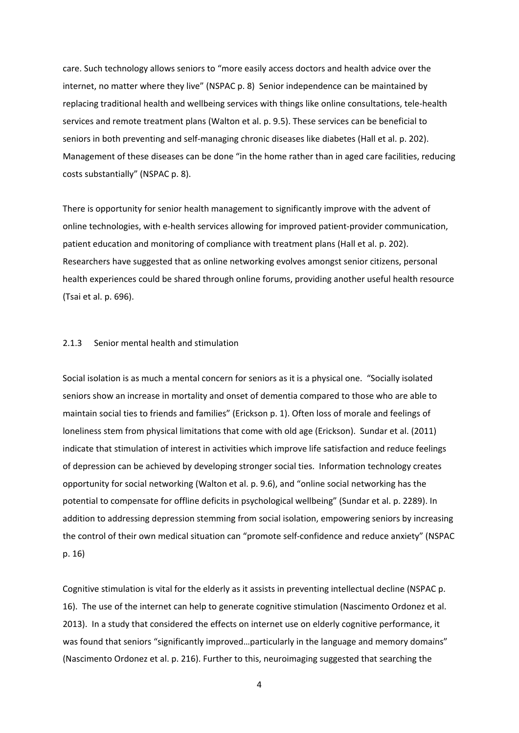care. Such technology allows seniors to "more easily access doctors and health advice over the internet, no matter where they live" (NSPAC p. 8) Senior independence can be maintained by replacing traditional health and wellbeing services with things like online consultations, tele‐health services and remote treatment plans (Walton et al. p. 9.5). These services can be beneficial to seniors in both preventing and self-managing chronic diseases like diabetes (Hall et al. p. 202). Management of these diseases can be done "in the home rather than in aged care facilities, reducing costs substantially" (NSPAC p. 8).

There is opportunity for senior health management to significantly improve with the advent of online technologies, with e‐health services allowing for improved patient‐provider communication, patient education and monitoring of compliance with treatment plans (Hall et al. p. 202). Researchers have suggested that as online networking evolves amongst senior citizens, personal health experiences could be shared through online forums, providing another useful health resource (Tsai et al. p. 696).

## 2.1.3 Senior mental health and stimulation

Social isolation is as much a mental concern for seniors as it is a physical one. "Socially isolated seniors show an increase in mortality and onset of dementia compared to those who are able to maintain social ties to friends and families" (Erickson p. 1). Often loss of morale and feelings of loneliness stem from physical limitations that come with old age (Erickson). Sundar et al. (2011) indicate that stimulation of interest in activities which improve life satisfaction and reduce feelings of depression can be achieved by developing stronger social ties. Information technology creates opportunity for social networking (Walton et al. p. 9.6), and "online social networking has the potential to compensate for offline deficits in psychological wellbeing" (Sundar et al. p. 2289). In addition to addressing depression stemming from social isolation, empowering seniors by increasing the control of their own medical situation can "promote self‐confidence and reduce anxiety" (NSPAC p. 16)

Cognitive stimulation is vital for the elderly as it assists in preventing intellectual decline (NSPAC p. 16). The use of the internet can help to generate cognitive stimulation (Nascimento Ordonez et al. 2013). In a study that considered the effects on internet use on elderly cognitive performance, it was found that seniors "significantly improved...particularly in the language and memory domains" (Nascimento Ordonez et al. p. 216). Further to this, neuroimaging suggested that searching the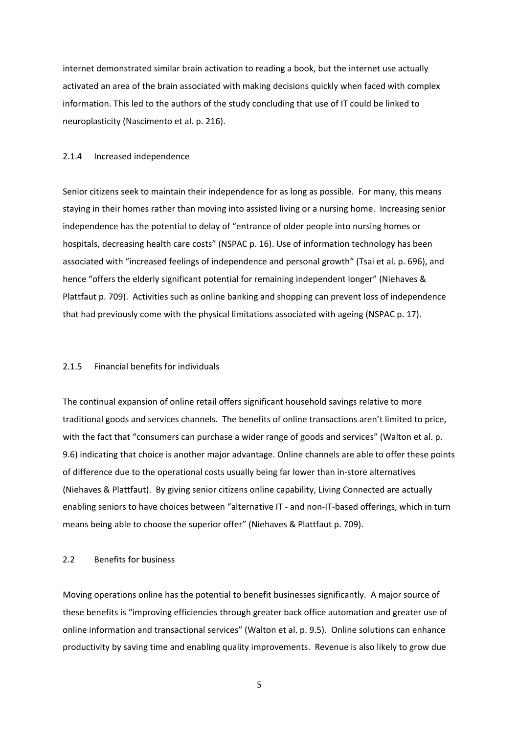internet demonstrated similar brain activation to reading a book, but the internet use actually activated an area of the brain associated with making decisions quickly when faced with complex information. This led to the authors of the study concluding that use of IT could be linked to neuroplasticity (Nascimento et al. p. 216).

## 2.1.4 Increased independence

Senior citizens seek to maintain their independence for as long as possible. For many, this means staying in their homes rather than moving into assisted living or a nursing home. Increasing senior independence has the potential to delay of "entrance of older people into nursing homes or hospitals, decreasing health care costs" (NSPAC p. 16). Use of information technology has been associated with "increased feelings of independence and personal growth" (Tsai et al. p. 696), and hence "offers the elderly significant potential for remaining independent longer" (Niehaves & Plattfaut p. 709). Activities such as online banking and shopping can prevent loss of independence that had previously come with the physical limitations associated with ageing (NSPAC p. 17).

## 2.1.5 Financial benefits for individuals

The continual expansion of online retail offers significant household savings relative to more traditional goods and services channels. The benefits of online transactions aren't limited to price, with the fact that "consumers can purchase a wider range of goods and services" (Walton et al. p. 9.6) indicating that choice is another major advantage. Online channels are able to offer these points of difference due to the operational costs usually being far lower than in‐store alternatives (Niehaves & Plattfaut). By giving senior citizens online capability, Living Connected are actually enabling seniors to have choices between "alternative IT - and non-IT-based offerings, which in turn means being able to choose the superior offer" (Niehaves & Plattfaut p. 709).

## 2.2 Benefits for business

Moving operations online has the potential to benefit businesses significantly. A major source of these benefits is "improving efficiencies through greater back office automation and greater use of online information and transactional services" (Walton et al. p. 9.5). Online solutions can enhance productivity by saving time and enabling quality improvements. Revenue is also likely to grow due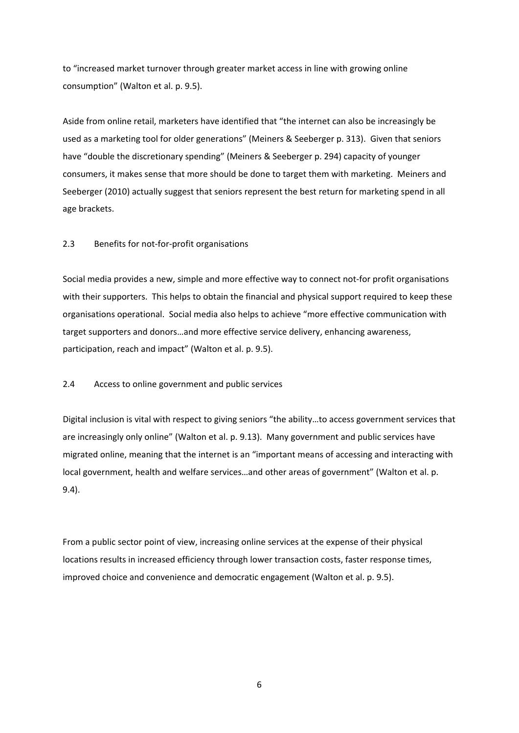to "increased market turnover through greater market access in line with growing online consumption" (Walton et al. p. 9.5).

Aside from online retail, marketers have identified that "the internet can also be increasingly be used as a marketing tool for older generations" (Meiners & Seeberger p. 313). Given that seniors have "double the discretionary spending" (Meiners & Seeberger p. 294) capacity of younger consumers, it makes sense that more should be done to target them with marketing. Meiners and Seeberger (2010) actually suggest that seniors represent the best return for marketing spend in all age brackets.

## 2.3 Benefits for not‐for‐profit organisations

Social media provides a new, simple and more effective way to connect not‐for profit organisations with their supporters. This helps to obtain the financial and physical support required to keep these organisations operational. Social media also helps to achieve "more effective communication with target supporters and donors…and more effective service delivery, enhancing awareness, participation, reach and impact" (Walton et al. p. 9.5).

## 2.4 Access to online government and public services

Digital inclusion is vital with respect to giving seniors "the ability…to access government services that are increasingly only online" (Walton et al. p. 9.13). Many government and public services have migrated online, meaning that the internet is an "important means of accessing and interacting with local government, health and welfare services…and other areas of government" (Walton et al. p. 9.4).

From a public sector point of view, increasing online services at the expense of their physical locations results in increased efficiency through lower transaction costs, faster response times, improved choice and convenience and democratic engagement (Walton et al. p. 9.5).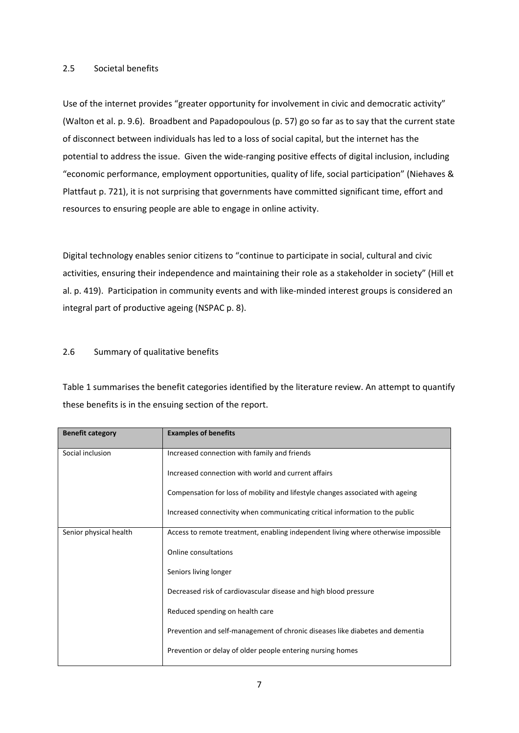## 2.5 Societal benefits

Use of the internet provides "greater opportunity for involvement in civic and democratic activity" (Walton et al. p. 9.6). Broadbent and Papadopoulous (p. 57) go so far as to say that the current state of disconnect between individuals has led to a loss of social capital, but the internet has the potential to address the issue. Given the wide‐ranging positive effects of digital inclusion, including "economic performance, employment opportunities, quality of life, social participation" (Niehaves & Plattfaut p. 721), it is not surprising that governments have committed significant time, effort and resources to ensuring people are able to engage in online activity.

Digital technology enables senior citizens to "continue to participate in social, cultural and civic activities, ensuring their independence and maintaining their role as a stakeholder in society" (Hill et al. p. 419). Participation in community events and with like‐minded interest groups is considered an integral part of productive ageing (NSPAC p. 8).

## 2.6 Summary of qualitative benefits

Table 1 summarises the benefit categories identified by the literature review. An attempt to quantify these benefits is in the ensuing section of the report.

| <b>Benefit category</b> | <b>Examples of benefits</b>                                                        |  |  |
|-------------------------|------------------------------------------------------------------------------------|--|--|
| Social inclusion        | Increased connection with family and friends                                       |  |  |
|                         | Increased connection with world and current affairs                                |  |  |
|                         | Compensation for loss of mobility and lifestyle changes associated with ageing     |  |  |
|                         | Increased connectivity when communicating critical information to the public       |  |  |
| Senior physical health  | Access to remote treatment, enabling independent living where otherwise impossible |  |  |
|                         | Online consultations                                                               |  |  |
|                         | Seniors living longer                                                              |  |  |
|                         | Decreased risk of cardiovascular disease and high blood pressure                   |  |  |
|                         | Reduced spending on health care                                                    |  |  |
|                         | Prevention and self-management of chronic diseases like diabetes and dementia      |  |  |
|                         | Prevention or delay of older people entering nursing homes                         |  |  |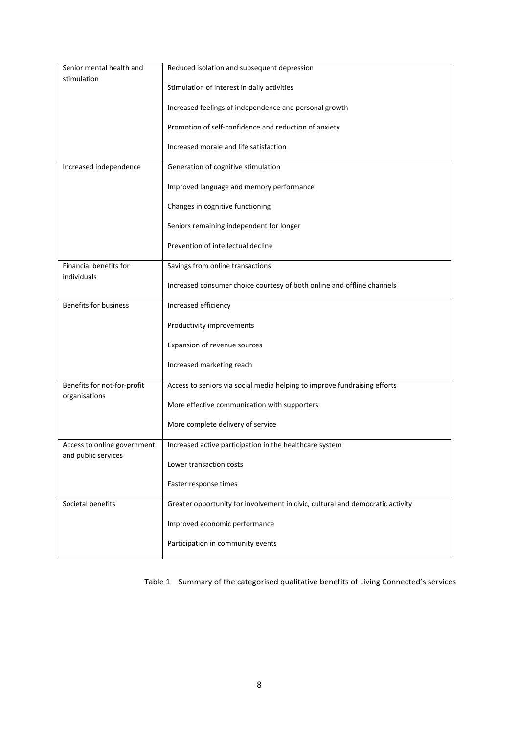| Senior mental health and              | Reduced isolation and subsequent depression                                    |  |  |  |
|---------------------------------------|--------------------------------------------------------------------------------|--|--|--|
| stimulation                           | Stimulation of interest in daily activities                                    |  |  |  |
|                                       | Increased feelings of independence and personal growth                         |  |  |  |
|                                       | Promotion of self-confidence and reduction of anxiety                          |  |  |  |
|                                       | Increased morale and life satisfaction                                         |  |  |  |
| Increased independence                | Generation of cognitive stimulation                                            |  |  |  |
|                                       | Improved language and memory performance                                       |  |  |  |
|                                       | Changes in cognitive functioning                                               |  |  |  |
|                                       | Seniors remaining independent for longer                                       |  |  |  |
|                                       | Prevention of intellectual decline                                             |  |  |  |
| Financial benefits for<br>individuals | Savings from online transactions                                               |  |  |  |
|                                       | Increased consumer choice courtesy of both online and offline channels         |  |  |  |
| Benefits for business                 | Increased efficiency                                                           |  |  |  |
|                                       | Productivity improvements                                                      |  |  |  |
|                                       | Expansion of revenue sources                                                   |  |  |  |
|                                       | Increased marketing reach                                                      |  |  |  |
| Benefits for not-for-profit           | Access to seniors via social media helping to improve fundraising efforts      |  |  |  |
| organisations                         | More effective communication with supporters                                   |  |  |  |
|                                       | More complete delivery of service                                              |  |  |  |
| Access to online government           | Increased active participation in the healthcare system                        |  |  |  |
| and public services                   | Lower transaction costs                                                        |  |  |  |
|                                       | Faster response times                                                          |  |  |  |
| Societal benefits                     | Greater opportunity for involvement in civic, cultural and democratic activity |  |  |  |
|                                       | Improved economic performance                                                  |  |  |  |
|                                       | Participation in community events                                              |  |  |  |

Table 1 – Summary of the categorised qualitative benefits of Living Connected's services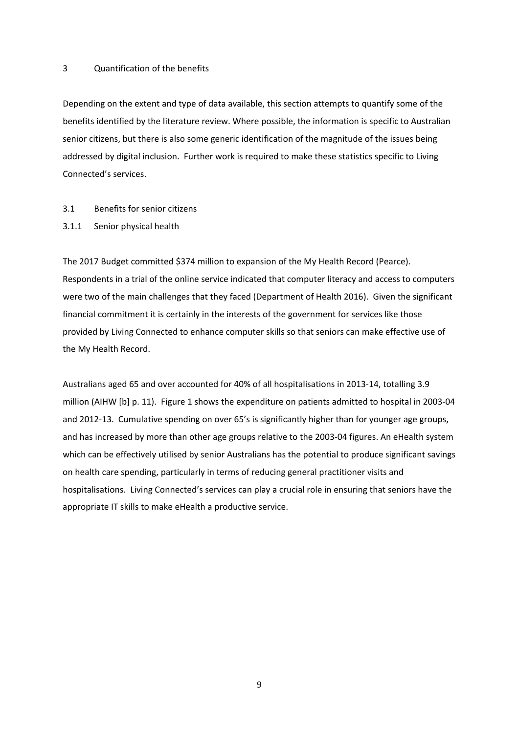#### 3 Quantification of the benefits

Depending on the extent and type of data available, this section attempts to quantify some of the benefits identified by the literature review. Where possible, the information is specific to Australian senior citizens, but there is also some generic identification of the magnitude of the issues being addressed by digital inclusion. Further work is required to make these statistics specific to Living Connected's services.

## 3.1 Benefits for senior citizens

3.1.1 Senior physical health

The 2017 Budget committed \$374 million to expansion of the My Health Record (Pearce). Respondents in a trial of the online service indicated that computer literacy and access to computers were two of the main challenges that they faced (Department of Health 2016). Given the significant financial commitment it is certainly in the interests of the government for services like those provided by Living Connected to enhance computer skills so that seniors can make effective use of the My Health Record.

Australians aged 65 and over accounted for 40% of all hospitalisations in 2013‐14, totalling 3.9 million (AIHW [b] p. 11). Figure 1 shows the expenditure on patients admitted to hospital in 2003‐04 and 2012-13. Cumulative spending on over 65's is significantly higher than for younger age groups, and has increased by more than other age groups relative to the 2003-04 figures. An eHealth system which can be effectively utilised by senior Australians has the potential to produce significant savings on health care spending, particularly in terms of reducing general practitioner visits and hospitalisations. Living Connected's services can play a crucial role in ensuring that seniors have the appropriate IT skills to make eHealth a productive service.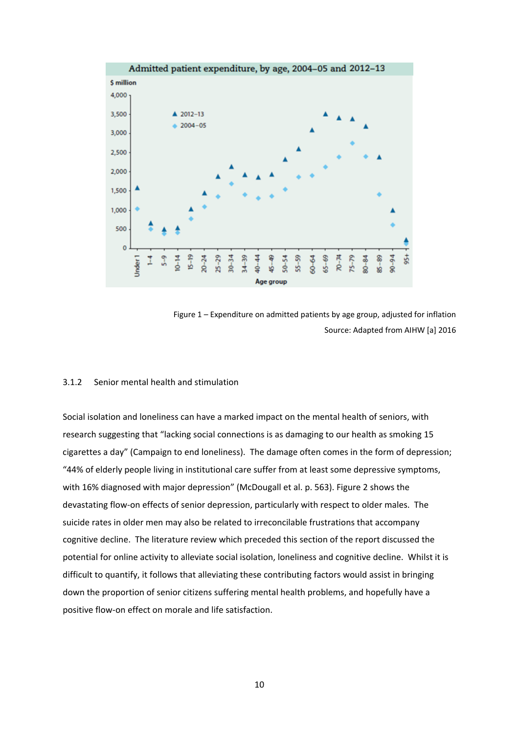



## 3.1.2 Senior mental health and stimulation

Social isolation and loneliness can have a marked impact on the mental health of seniors, with research suggesting that "lacking social connections is as damaging to our health as smoking 15 cigarettes a day" (Campaign to end loneliness). The damage often comes in the form of depression; "44% of elderly people living in institutional care suffer from at least some depressive symptoms, with 16% diagnosed with major depression" (McDougall et al. p. 563). Figure 2 shows the devastating flow‐on effects of senior depression, particularly with respect to older males. The suicide rates in older men may also be related to irreconcilable frustrations that accompany cognitive decline. The literature review which preceded this section of the report discussed the potential for online activity to alleviate social isolation, loneliness and cognitive decline. Whilst it is difficult to quantify, it follows that alleviating these contributing factors would assist in bringing down the proportion of senior citizens suffering mental health problems, and hopefully have a positive flow-on effect on morale and life satisfaction.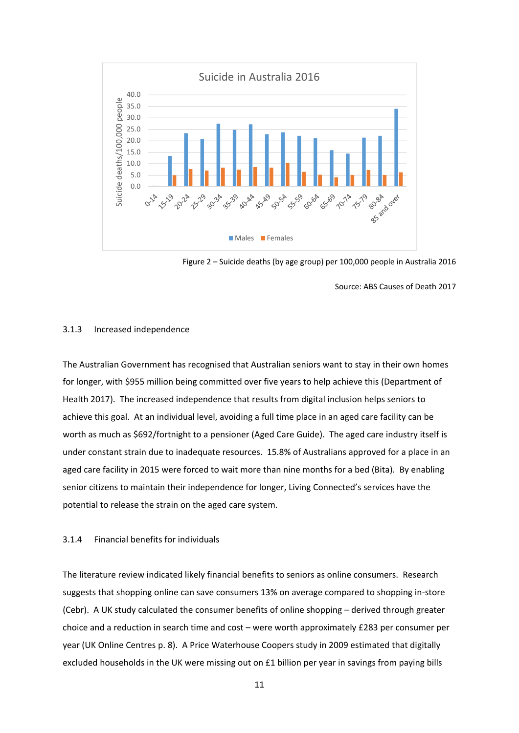

Figure 2 – Suicide deaths (by age group) per 100,000 people in Australia 2016

Source: ABS Causes of Death 2017

#### 3.1.3 Increased independence

The Australian Government has recognised that Australian seniors want to stay in their own homes for longer, with \$955 million being committed over five years to help achieve this (Department of Health 2017). The increased independence that results from digital inclusion helps seniors to achieve this goal. At an individual level, avoiding a full time place in an aged care facility can be worth as much as \$692/fortnight to a pensioner (Aged Care Guide). The aged care industry itself is under constant strain due to inadequate resources. 15.8% of Australians approved for a place in an aged care facility in 2015 were forced to wait more than nine months for a bed (Bita). By enabling senior citizens to maintain their independence for longer, Living Connected's services have the potential to release the strain on the aged care system.

#### 3.1.4 Financial benefits for individuals

The literature review indicated likely financial benefits to seniors as online consumers. Research suggests that shopping online can save consumers 13% on average compared to shopping in‐store (Cebr). A UK study calculated the consumer benefits of online shopping – derived through greater choice and a reduction in search time and cost – were worth approximately £283 per consumer per year (UK Online Centres p. 8). A Price Waterhouse Coopers study in 2009 estimated that digitally excluded households in the UK were missing out on £1 billion per year in savings from paying bills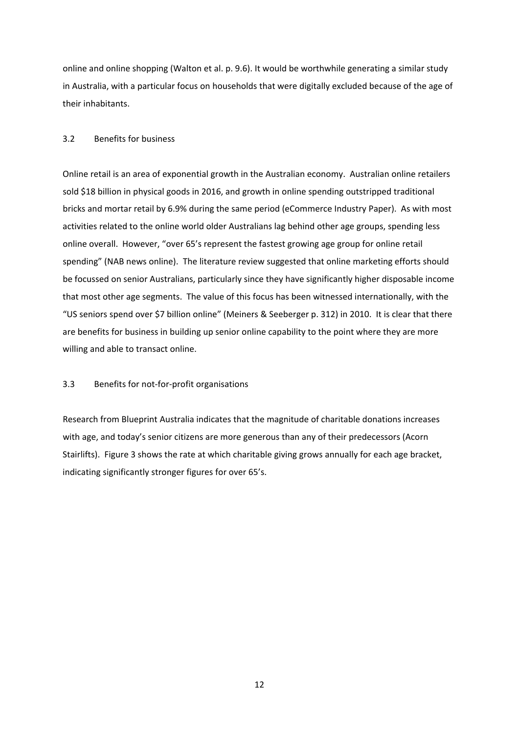online and online shopping (Walton et al. p. 9.6). It would be worthwhile generating a similar study in Australia, with a particular focus on households that were digitally excluded because of the age of their inhabitants.

## 3.2 Benefits for business

Online retail is an area of exponential growth in the Australian economy. Australian online retailers sold \$18 billion in physical goods in 2016, and growth in online spending outstripped traditional bricks and mortar retail by 6.9% during the same period (eCommerce Industry Paper). As with most activities related to the online world older Australians lag behind other age groups, spending less online overall. However, "over 65's represent the fastest growing age group for online retail spending" (NAB news online). The literature review suggested that online marketing efforts should be focussed on senior Australians, particularly since they have significantly higher disposable income that most other age segments. The value of this focus has been witnessed internationally, with the "US seniors spend over \$7 billion online" (Meiners & Seeberger p. 312) in 2010. It is clear that there are benefits for business in building up senior online capability to the point where they are more willing and able to transact online.

## 3.3 Benefits for not‐for‐profit organisations

Research from Blueprint Australia indicates that the magnitude of charitable donations increases with age, and today's senior citizens are more generous than any of their predecessors (Acorn Stairlifts). Figure 3 shows the rate at which charitable giving grows annually for each age bracket, indicating significantly stronger figures for over 65's.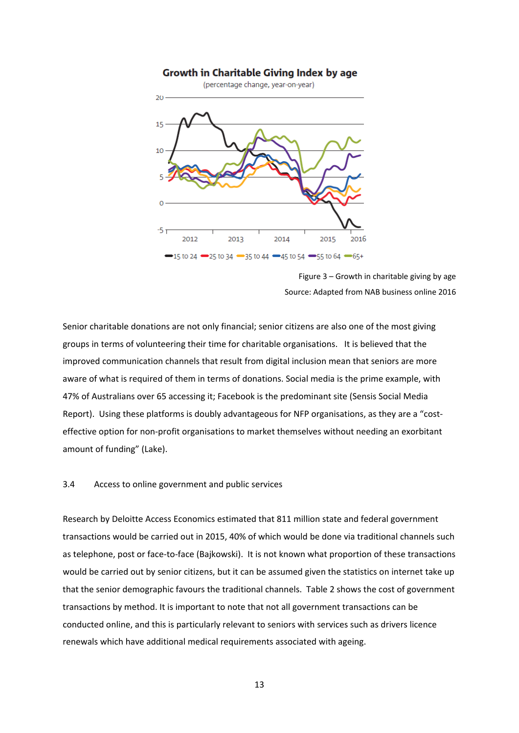

Figure 3 – Growth in charitable giving by age Source: Adapted from NAB business online 2016

Senior charitable donations are not only financial; senior citizens are also one of the most giving groups in terms of volunteering their time for charitable organisations. It is believed that the improved communication channels that result from digital inclusion mean that seniors are more aware of what is required of them in terms of donations. Social media is the prime example, with 47% of Australians over 65 accessing it; Facebook is the predominant site (Sensis Social Media Report). Using these platforms is doubly advantageous for NFP organisations, as they are a "costeffective option for non‐profit organisations to market themselves without needing an exorbitant amount of funding" (Lake).

### 3.4 Access to online government and public services

Research by Deloitte Access Economics estimated that 811 million state and federal government transactions would be carried out in 2015, 40% of which would be done via traditional channels such as telephone, post or face‐to‐face (Bajkowski). It is not known what proportion of these transactions would be carried out by senior citizens, but it can be assumed given the statistics on internet take up that the senior demographic favours the traditional channels. Table 2 shows the cost of government transactions by method. It is important to note that not all government transactions can be conducted online, and this is particularly relevant to seniors with services such as drivers licence renewals which have additional medical requirements associated with ageing.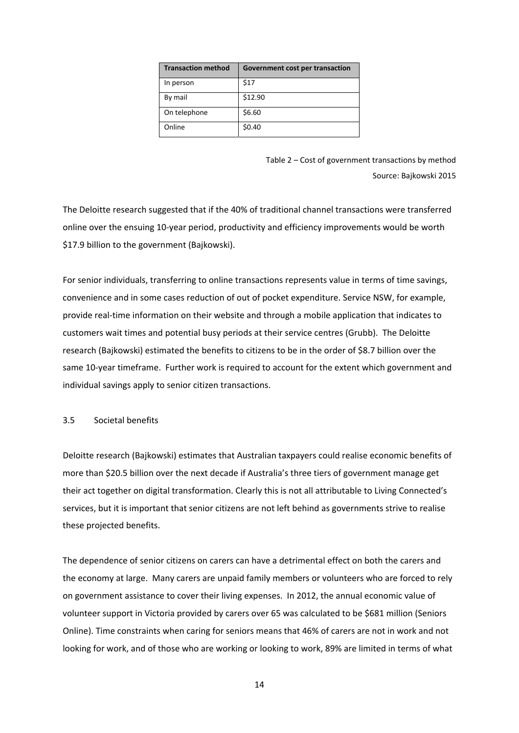| <b>Transaction method</b> | Government cost per transaction |
|---------------------------|---------------------------------|
| In person                 | \$17                            |
| By mail                   | \$12.90                         |
| On telephone              | \$6.60                          |
| Online                    | \$0.40                          |

Table 2 – Cost of government transactions by method Source: Bajkowski 2015

The Deloitte research suggested that if the 40% of traditional channel transactions were transferred online over the ensuing 10‐year period, productivity and efficiency improvements would be worth \$17.9 billion to the government (Bajkowski).

For senior individuals, transferring to online transactions represents value in terms of time savings, convenience and in some cases reduction of out of pocket expenditure. Service NSW, for example, provide real‐time information on their website and through a mobile application that indicates to customers wait times and potential busy periods at their service centres (Grubb). The Deloitte research (Bajkowski) estimated the benefits to citizens to be in the order of \$8.7 billion over the same 10-year timeframe. Further work is required to account for the extent which government and individual savings apply to senior citizen transactions.

## 3.5 Societal benefits

Deloitte research (Bajkowski) estimates that Australian taxpayers could realise economic benefits of more than \$20.5 billion over the next decade if Australia's three tiers of government manage get their act together on digital transformation. Clearly this is not all attributable to Living Connected's services, but it is important that senior citizens are not left behind as governments strive to realise these projected benefits.

The dependence of senior citizens on carers can have a detrimental effect on both the carers and the economy at large. Many carers are unpaid family members or volunteers who are forced to rely on government assistance to cover their living expenses. In 2012, the annual economic value of volunteer support in Victoria provided by carers over 65 was calculated to be \$681 million (Seniors Online). Time constraints when caring for seniors means that 46% of carers are not in work and not looking for work, and of those who are working or looking to work, 89% are limited in terms of what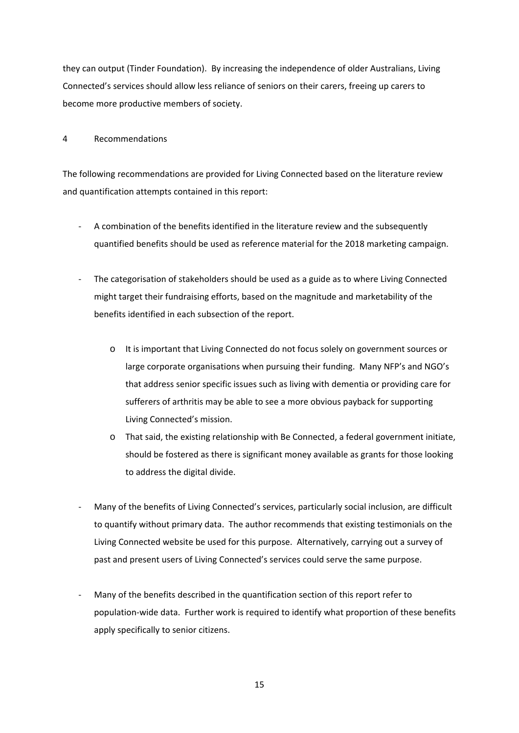they can output (Tinder Foundation). By increasing the independence of older Australians, Living Connected's services should allow less reliance of seniors on their carers, freeing up carers to become more productive members of society.

4 Recommendations

The following recommendations are provided for Living Connected based on the literature review and quantification attempts contained in this report:

- ‐ A combination of the benefits identified in the literature review and the subsequently quantified benefits should be used as reference material for the 2018 marketing campaign.
- ‐ The categorisation of stakeholders should be used as a guide as to where Living Connected might target their fundraising efforts, based on the magnitude and marketability of the benefits identified in each subsection of the report.
	- o It is important that Living Connected do not focus solely on government sources or large corporate organisations when pursuing their funding. Many NFP's and NGO's that address senior specific issues such as living with dementia or providing care for sufferers of arthritis may be able to see a more obvious payback for supporting Living Connected's mission.
	- o That said, the existing relationship with Be Connected, a federal government initiate, should be fostered as there is significant money available as grants for those looking to address the digital divide.
- ‐ Many of the benefits of Living Connected's services, particularly social inclusion, are difficult to quantify without primary data. The author recommends that existing testimonials on the Living Connected website be used for this purpose. Alternatively, carrying out a survey of past and present users of Living Connected's services could serve the same purpose.
- Many of the benefits described in the quantification section of this report refer to population‐wide data. Further work is required to identify what proportion of these benefits apply specifically to senior citizens.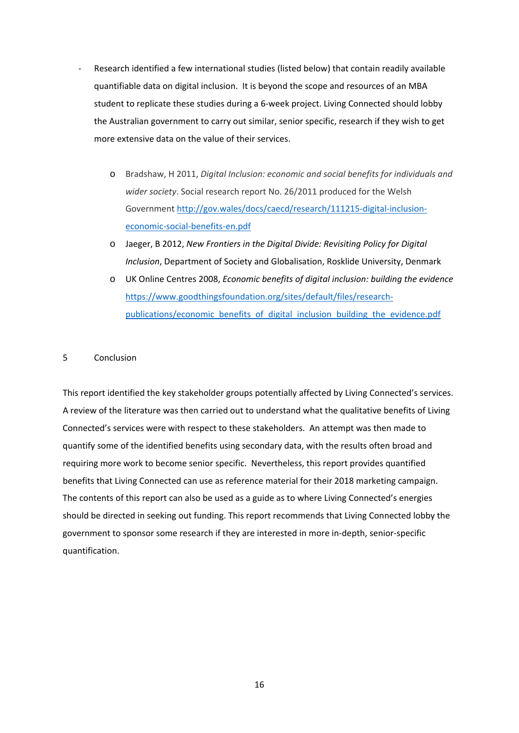- ‐ Research identified a few international studies (listed below) that contain readily available quantifiable data on digital inclusion. It is beyond the scope and resources of an MBA student to replicate these studies during a 6‐week project. Living Connected should lobby the Australian government to carry out similar, senior specific, research if they wish to get more extensive data on the value of their services.
	- o Bradshaw, H 2011, *Digital Inclusion: economic and social benefits for individuals and wider society*. Social research report No. 26/2011 produced for the Welsh Government http://gov.wales/docs/caecd/research/111215‐digital‐inclusion‐ economic‐social‐benefits‐en.pdf
	- o Jaeger, B 2012, *New Frontiers in the Digital Divide: Revisiting Policy for Digital Inclusion*, Department of Society and Globalisation, Rosklide University, Denmark
	- o UK Online Centres 2008, *Economic benefits of digital inclusion: building the evidence* https://www.goodthingsfoundation.org/sites/default/files/research‐ publications/economic\_benefits\_of\_digital\_inclusion\_building\_the\_evidence.pdf

## 5 Conclusion

This report identified the key stakeholder groups potentially affected by Living Connected's services. A review of the literature was then carried out to understand what the qualitative benefits of Living Connected's services were with respect to these stakeholders. An attempt was then made to quantify some of the identified benefits using secondary data, with the results often broad and requiring more work to become senior specific. Nevertheless, this report provides quantified benefits that Living Connected can use as reference material for their 2018 marketing campaign. The contents of this report can also be used as a guide as to where Living Connected's energies should be directed in seeking out funding. This report recommends that Living Connected lobby the government to sponsor some research if they are interested in more in‐depth, senior‐specific quantification.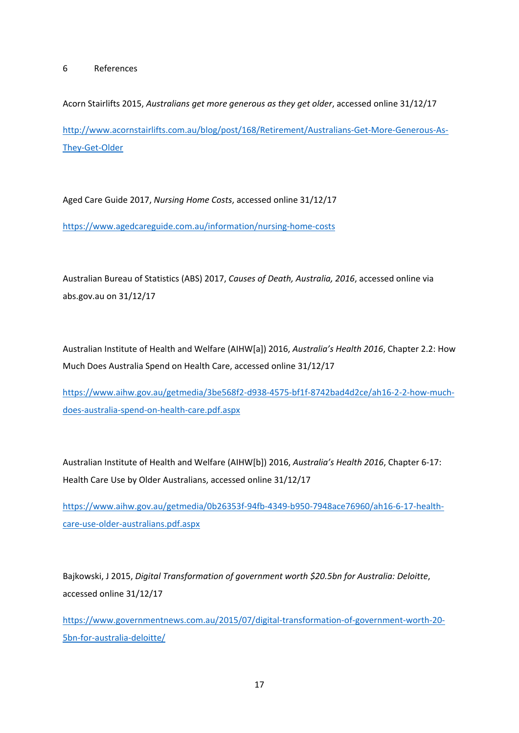Acorn Stairlifts 2015, *Australians get more generous as they get older*, accessed online 31/12/17 http://www.acornstairlifts.com.au/blog/post/168/Retirement/Australians‐Get‐More‐Generous‐As‐ They‐Get‐Older

Aged Care Guide 2017, *Nursing Home Costs*, accessed online 31/12/17 https://www.agedcareguide.com.au/information/nursing‐home‐costs

Australian Bureau of Statistics (ABS) 2017, *Causes of Death, Australia, 2016*, accessed online via abs.gov.au on 31/12/17

Australian Institute of Health and Welfare (AIHW[a]) 2016, *Australia's Health 2016*, Chapter 2.2: How Much Does Australia Spend on Health Care, accessed online 31/12/17

https://www.aihw.gov.au/getmedia/3be568f2‐d938‐4575‐bf1f‐8742bad4d2ce/ah16‐2‐2‐how‐much‐ does‐australia‐spend‐on‐health‐care.pdf.aspx

Australian Institute of Health and Welfare (AIHW[b]) 2016, *Australia's Health 2016*, Chapter 6‐17: Health Care Use by Older Australians, accessed online 31/12/17

https://www.aihw.gov.au/getmedia/0b26353f‐94fb‐4349‐b950‐7948ace76960/ah16‐6‐17‐health‐ care‐use‐older‐australians.pdf.aspx

Bajkowski, J 2015, *Digital Transformation of government worth \$20.5bn for Australia: Deloitte*, accessed online 31/12/17

https://www.governmentnews.com.au/2015/07/digital‐transformation‐of‐government‐worth‐20‐ 5bn‐for‐australia‐deloitte/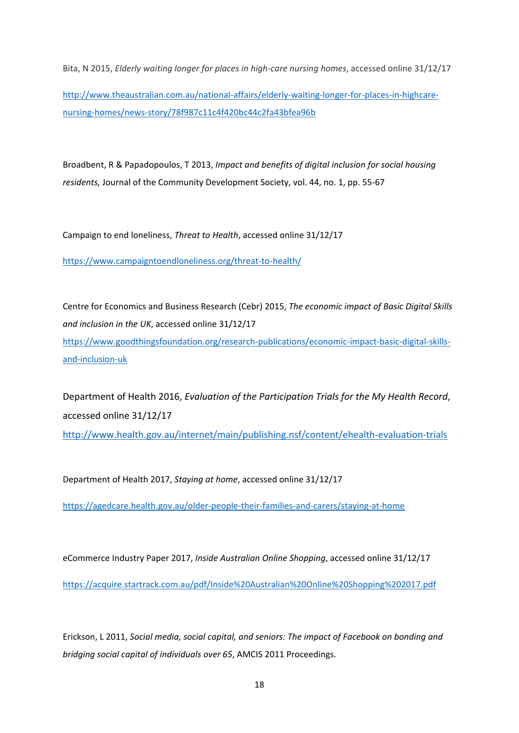Bita, N 2015, *Elderly waiting longer for places in high‐care nursing homes*, accessed online 31/12/17

http://www.theaustralian.com.au/national-affairs/elderly-waiting-longer-for-places-in-highcarenursing‐homes/news‐story/78f987c11c4f420bc44c2fa43bfea96b

Broadbent, R & Papadopoulos, T 2013, *Impact and benefits of digital inclusion for social housing residents,* Journal of the Community Development Society, vol. 44, no. 1, pp. 55‐67

Campaign to end loneliness, *Threat to Health*, accessed online 31/12/17

https://www.campaigntoendloneliness.org/threat‐to‐health/

Centre for Economics and Business Research (Cebr) 2015, *The economic impact of Basic Digital Skills and inclusion in the UK*, accessed online 31/12/17 https://www.goodthingsfoundation.org/research-publications/economic-impact-basic-digital-skillsand‐inclusion‐uk

Department of Health 2016, *Evaluation of the Participation Trials for the My Health Record*, accessed online 31/12/17 http://www.health.gov.au/internet/main/publishing.nsf/content/ehealth‐evaluation‐trials

Department of Health 2017, *Staying at home*, accessed online 31/12/17

https://agedcare.health.gov.au/older‐people‐their‐families‐and‐carers/staying‐at‐home

eCommerce Industry Paper 2017, *Inside Australian Online Shopping*, accessed online 31/12/17 https://acquire.startrack.com.au/pdf/Inside%20Australian%20Online%20Shopping%202017.pdf

Erickson, L 2011, *Social media, social capital, and seniors: The impact of Facebook on bonding and bridging social capital of individuals over 65*, AMCIS 2011 Proceedings.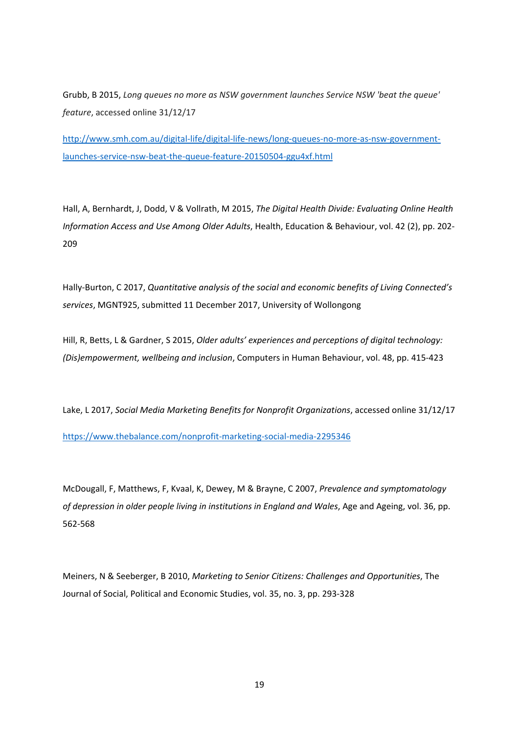Grubb, B 2015, *Long queues no more as NSW government launches Service NSW 'beat the queue' feature*, accessed online 31/12/17

http://www.smh.com.au/digital‐life/digital‐life‐news/long‐queues‐no‐more‐as‐nsw‐government‐ launches‐service‐nsw‐beat‐the‐queue‐feature‐20150504‐ggu4xf.html

Hall, A, Bernhardt, J, Dodd, V & Vollrath, M 2015, *The Digital Health Divide: Evaluating Online Health Information Access and Use Among Older Adults*, Health, Education & Behaviour, vol. 42 (2), pp. 202‐ 209

Hally‐Burton, C 2017, *Quantitative analysis of the social and economic benefits of Living Connected's services*, MGNT925, submitted 11 December 2017, University of Wollongong

Hill, R, Betts, L & Gardner, S 2015, *Older adults' experiences and perceptions of digital technology: (Dis)empowerment, wellbeing and inclusion*, Computers in Human Behaviour, vol. 48, pp. 415‐423

Lake, L 2017, *Social Media Marketing Benefits for Nonprofit Organizations*, accessed online 31/12/17 https://www.thebalance.com/nonprofit‐marketing‐social‐media‐2295346

McDougall, F, Matthews, F, Kvaal, K, Dewey, M & Brayne, C 2007, *Prevalence and symptomatology of depression in older people living in institutions in England and Wales*, Age and Ageing, vol. 36, pp. 562‐568

Meiners, N & Seeberger, B 2010, *Marketing to Senior Citizens: Challenges and Opportunities*, The Journal of Social, Political and Economic Studies, vol. 35, no. 3, pp. 293‐328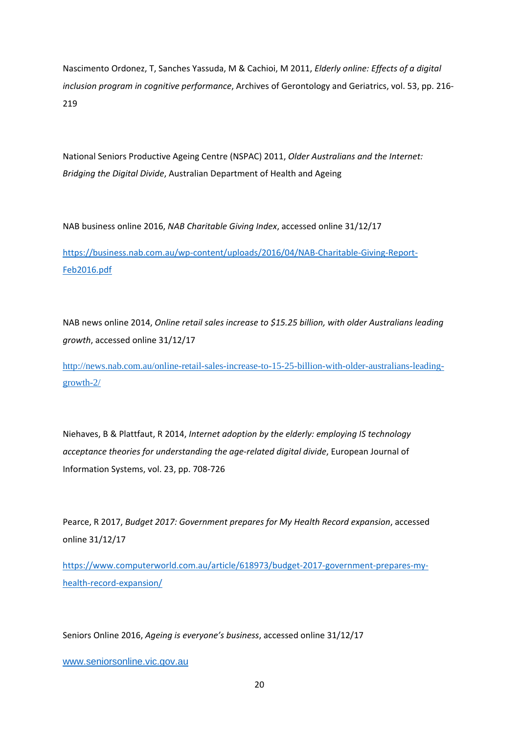Nascimento Ordonez, T, Sanches Yassuda, M & Cachioi, M 2011, *Elderly online: Effects of a digital inclusion program in cognitive performance*, Archives of Gerontology and Geriatrics, vol. 53, pp. 216‐ 219

National Seniors Productive Ageing Centre (NSPAC) 2011, *Older Australians and the Internet: Bridging the Digital Divide*, Australian Department of Health and Ageing

NAB business online 2016, *NAB Charitable Giving Index*, accessed online 31/12/17

https://business.nab.com.au/wp‐content/uploads/2016/04/NAB‐Charitable‐Giving‐Report‐ Feb2016.pdf

NAB news online 2014, *Online retail sales increase to \$15.25 billion, with older Australians leading growth*, accessed online 31/12/17

http://news.nab.com.au/online-retail-sales-increase-to-15-25-billion-with-older-australians-leadinggrowth-2/

Niehaves, B & Plattfaut, R 2014, *Internet adoption by the elderly: employing IS technology acceptance theories for understanding the age‐related digital divide*, European Journal of Information Systems, vol. 23, pp. 708‐726

Pearce, R 2017, *Budget 2017: Government prepares for My Health Record expansion*, accessed online 31/12/17

https://www.computerworld.com.au/article/618973/budget‐2017‐government‐prepares‐my‐ health-record-expansion/

Seniors Online 2016, *Ageing is everyone's business*, accessed online 31/12/17

www.seniorsonline.vic.gov.au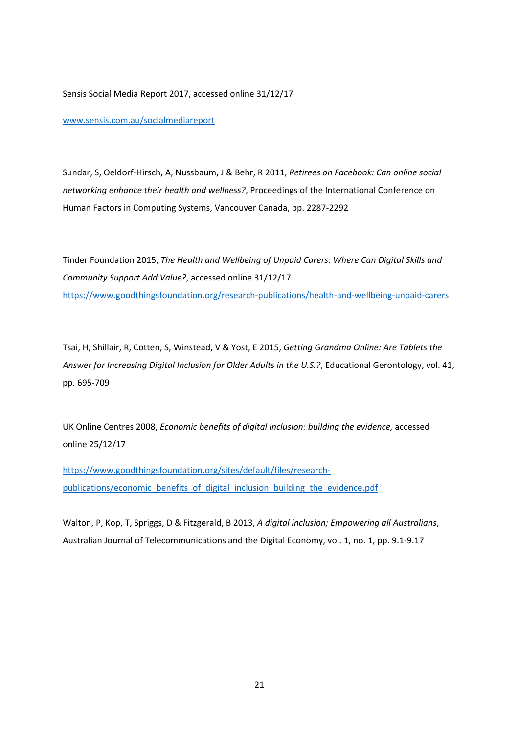Sensis Social Media Report 2017, accessed online 31/12/17

www.sensis.com.au/socialmediareport

Sundar, S, Oeldorf‐Hirsch, A, Nussbaum, J & Behr, R 2011, *Retirees on Facebook: Can online social networking enhance their health and wellness?*, Proceedings of the International Conference on Human Factors in Computing Systems, Vancouver Canada, pp. 2287‐2292

Tinder Foundation 2015, *The Health and Wellbeing of Unpaid Carers: Where Can Digital Skills and Community Support Add Value?*, accessed online 31/12/17 https://www.goodthingsfoundation.org/research‐publications/health‐and‐wellbeing‐unpaid‐carers

Tsai, H, Shillair, R, Cotten, S, Winstead, V & Yost, E 2015, *Getting Grandma Online: Are Tablets the Answer for Increasing Digital Inclusion for Older Adults in the U.S.?*, Educational Gerontology, vol. 41, pp. 695‐709

UK Online Centres 2008, *Economic benefits of digital inclusion: building the evidence,* accessed online 25/12/17

https://www.goodthingsfoundation.org/sites/default/files/researchpublications/economic\_benefits\_of\_digital\_inclusion\_building\_the\_evidence.pdf

Walton, P, Kop, T, Spriggs, D & Fitzgerald, B 2013, *A digital inclusion; Empowering all Australians*, Australian Journal of Telecommunications and the Digital Economy, vol. 1, no. 1, pp. 9.1‐9.17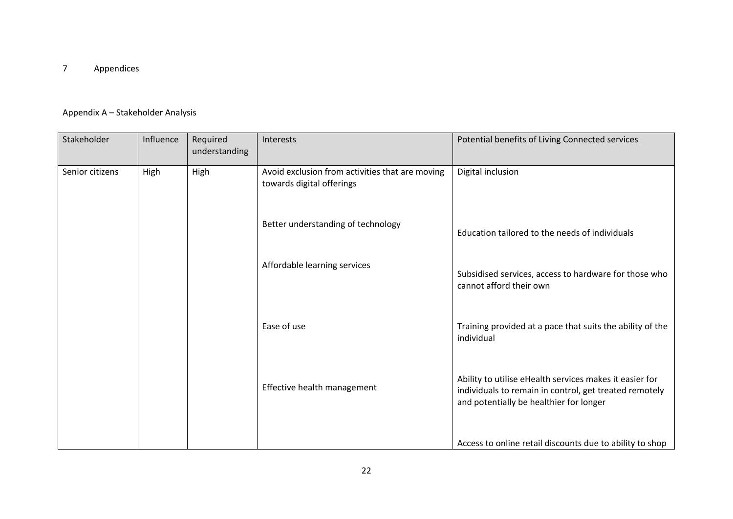#### 7Appendices

## Appendix A – Stakeholder Analysis

| Stakeholder     | Influence | Required<br>understanding | Interests                                                                    | Potential benefits of Living Connected services                                                                                                              |
|-----------------|-----------|---------------------------|------------------------------------------------------------------------------|--------------------------------------------------------------------------------------------------------------------------------------------------------------|
| Senior citizens | High      | High                      | Avoid exclusion from activities that are moving<br>towards digital offerings | Digital inclusion                                                                                                                                            |
|                 |           |                           | Better understanding of technology                                           | Education tailored to the needs of individuals                                                                                                               |
|                 |           |                           | Affordable learning services                                                 | Subsidised services, access to hardware for those who<br>cannot afford their own                                                                             |
|                 |           |                           | Ease of use                                                                  | Training provided at a pace that suits the ability of the<br>individual                                                                                      |
|                 |           |                           | Effective health management                                                  | Ability to utilise eHealth services makes it easier for<br>individuals to remain in control, get treated remotely<br>and potentially be healthier for longer |
|                 |           |                           |                                                                              | Access to online retail discounts due to ability to shop                                                                                                     |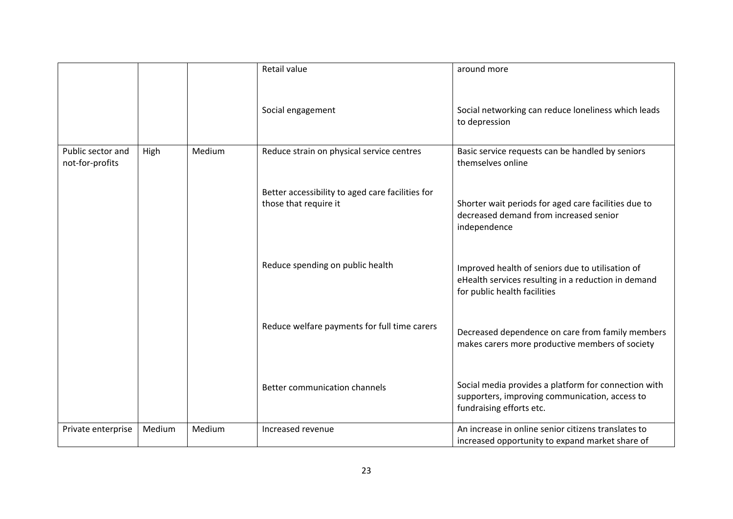|                                      |        |        | Retail value                                                              | around more                                                                                                                             |
|--------------------------------------|--------|--------|---------------------------------------------------------------------------|-----------------------------------------------------------------------------------------------------------------------------------------|
|                                      |        |        | Social engagement                                                         | Social networking can reduce loneliness which leads<br>to depression                                                                    |
| Public sector and<br>not-for-profits | High   | Medium | Reduce strain on physical service centres                                 | Basic service requests can be handled by seniors<br>themselves online                                                                   |
|                                      |        |        | Better accessibility to aged care facilities for<br>those that require it | Shorter wait periods for aged care facilities due to<br>decreased demand from increased senior<br>independence                          |
|                                      |        |        | Reduce spending on public health                                          | Improved health of seniors due to utilisation of<br>eHealth services resulting in a reduction in demand<br>for public health facilities |
|                                      |        |        | Reduce welfare payments for full time carers                              | Decreased dependence on care from family members<br>makes carers more productive members of society                                     |
|                                      |        |        | Better communication channels                                             | Social media provides a platform for connection with<br>supporters, improving communication, access to<br>fundraising efforts etc.      |
| Private enterprise                   | Medium | Medium | Increased revenue                                                         | An increase in online senior citizens translates to<br>increased opportunity to expand market share of                                  |